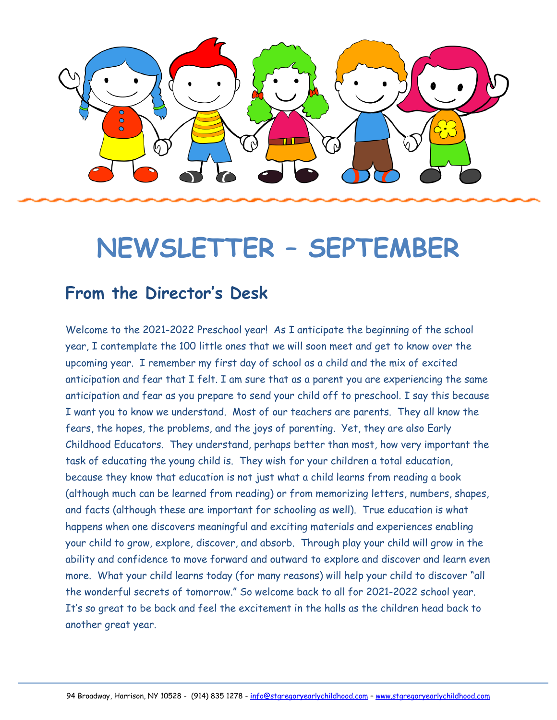

# **NEWSLETTER – SEPTEMBER**

# **From the Director's Desk**

Welcome to the 2021-2022 Preschool year! As I anticipate the beginning of the school year, I contemplate the 100 little ones that we will soon meet and get to know over the upcoming year. I remember my first day of school as a child and the mix of excited anticipation and fear that I felt. I am sure that as a parent you are experiencing the same anticipation and fear as you prepare to send your child off to preschool. I say this because I want you to know we understand. Most of our teachers are parents. They all know the fears, the hopes, the problems, and the joys of parenting. Yet, they are also Early Childhood Educators. They understand, perhaps better than most, how very important the task of educating the young child is. They wish for your children a total education, because they know that education is not just what a child learns from reading a book (although much can be learned from reading) or from memorizing letters, numbers, shapes, and facts (although these are important for schooling as well). True education is what happens when one discovers meaningful and exciting materials and experiences enabling your child to grow, explore, discover, and absorb. Through play your child will grow in the ability and confidence to move forward and outward to explore and discover and learn even more. What your child learns today (for many reasons) will help your child to discover "all the wonderful secrets of tomorrow." So welcome back to all for 2021-2022 school year. It's so great to be back and feel the excitement in the halls as the children head back to another great year.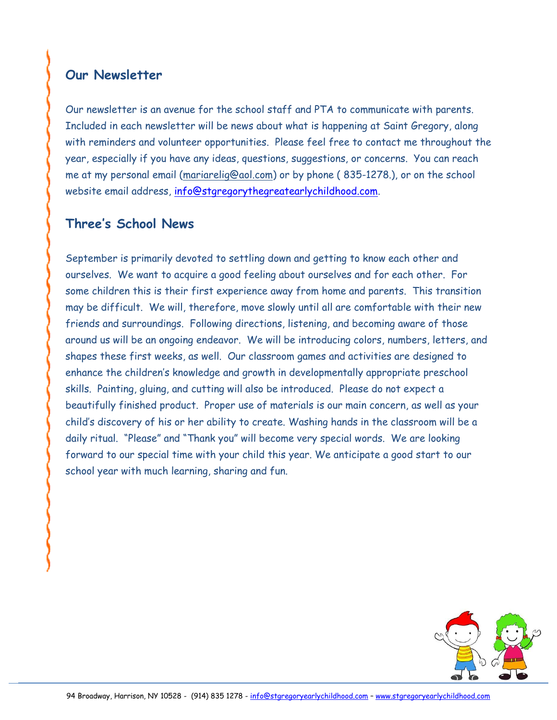# **Our Newsletter**

Our newsletter is an avenue for the school staff and PTA to communicate with parents. Included in each newsletter will be news about what is happening at Saint Gregory, along with reminders and volunteer opportunities. Please feel free to contact me throughout the year, especially if you have any ideas, questions, suggestions, or concerns. You can reach me at my personal email [\(mariarelig@aol.com\)](mailto:mariarelig@aol.com) or by phone ( 835-1278.), or on the school website email address, [info@stgregorythegreatearlychildhood.com.](mailto:info@stgregorythegreatearlychildhood.com)

## **Three's School News**

September is primarily devoted to settling down and getting to know each other and ourselves. We want to acquire a good feeling about ourselves and for each other. For some children this is their first experience away from home and parents. This transition may be difficult. We will, therefore, move slowly until all are comfortable with their new friends and surroundings. Following directions, listening, and becoming aware of those around us will be an ongoing endeavor. We will be introducing colors, numbers, letters, and shapes these first weeks, as well. Our classroom games and activities are designed to enhance the children's knowledge and growth in developmentally appropriate preschool skills. Painting, gluing, and cutting will also be introduced. Please do not expect a beautifully finished product. Proper use of materials is our main concern, as well as your child's discovery of his or her ability to create. Washing hands in the classroom will be a daily ritual. "Please" and "Thank you" will become very special words. We are looking forward to our special time with your child this year. We anticipate a good start to our school year with much learning, sharing and fun.

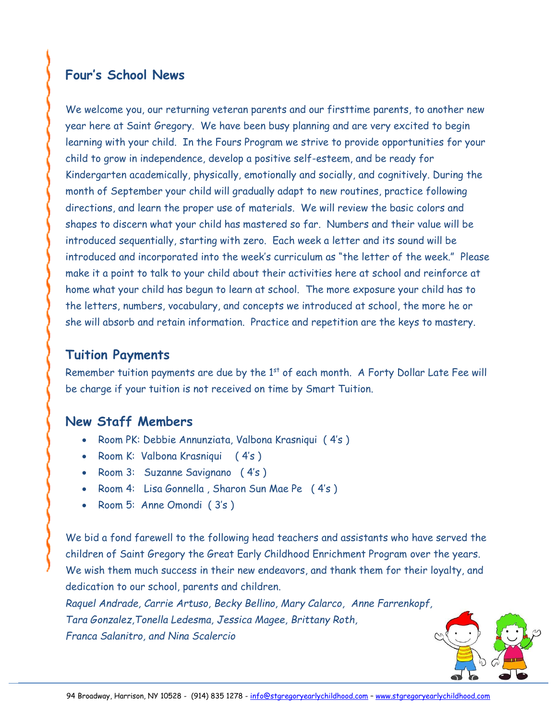#### **Four's School News**

We welcome you, our returning veteran parents and our firsttime parents, to another new year here at Saint Gregory. We have been busy planning and are very excited to begin learning with your child. In the Fours Program we strive to provide opportunities for your child to grow in independence, develop a positive self-esteem, and be ready for Kindergarten academically, physically, emotionally and socially, and cognitively. During the month of September your child will gradually adapt to new routines, practice following directions, and learn the proper use of materials. We will review the basic colors and shapes to discern what your child has mastered so far. Numbers and their value will be introduced sequentially, starting with zero. Each week a letter and its sound will be introduced and incorporated into the week's curriculum as "the letter of the week." Please make it a point to talk to your child about their activities here at school and reinforce at home what your child has begun to learn at school. The more exposure your child has to the letters, numbers, vocabulary, and concepts we introduced at school, the more he or she will absorb and retain information. Practice and repetition are the keys to mastery.

#### **Tuition Payments**

Remember tuition payments are due by the 1<sup>st</sup> of each month. A Forty Dollar Late Fee will be charge if your tuition is not received on time by Smart Tuition.

#### **New Staff Members**

- Room PK: Debbie Annunziata, Valbona Krasniqui ( 4's )
- Room K: Valbona Krasniqui ( 4's )
- Room 3: Suzanne Savignano ( 4's )
- Room 4: Lisa Gonnella , Sharon Sun Mae Pe ( 4's )
- Room 5: Anne Omondi ( 3's )

We bid a fond farewell to the following head teachers and assistants who have served the children of Saint Gregory the Great Early Childhood Enrichment Program over the years. We wish them much success in their new endeavors, and thank them for their loyalty, and dedication to our school, parents and children.

*Raquel Andrade, Carrie Artuso, Becky Bellino, Mary Calarco, Anne Farrenkopf, Tara Gonzalez,Tonella Ledesma, Jessica Magee, Brittany Roth, Franca Salanitro, and Nina Scalercio*